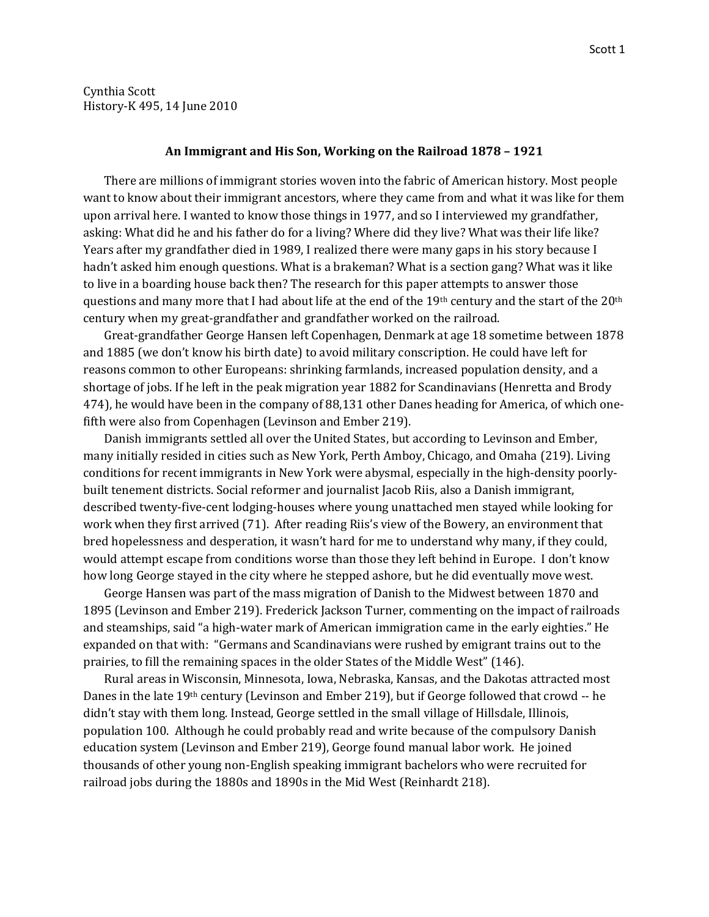Cynthia Scott History-K 495, 14 June 2010

## **An Immigrant and His Son, Working on the Railroad 1878 – 1921**

There are millions of immigrant stories woven into the fabric of American history. Most people want to know about their immigrant ancestors, where they came from and what it was like for them upon arrival here. I wanted to know those things in 1977, and so I interviewed my grandfather, asking: What did he and his father do for a living? Where did they live? What was their life like? Years after my grandfather died in 1989, I realized there were many gaps in his story because I hadn't asked him enough questions. What is a brakeman? What is a section gang? What was it like to live in a boarding house back then? The research for this paper attempts to answer those questions and many more that I had about life at the end of the 19th century and the start of the 20th century when my great-grandfather and grandfather worked on the railroad.

Great-grandfather George Hansen left Copenhagen, Denmark at age 18 sometime between 1878 and 1885 (we don't know his birth date) to avoid military conscription. He could have left for reasons common to other Europeans: shrinking farmlands, increased population density, and a shortage of jobs. If he left in the peak migration year 1882 for Scandinavians (Henretta and Brody 474), he would have been in the company of 88,131 other Danes heading for America, of which onefifth were also from Copenhagen (Levinson and Ember 219).

Danish immigrants settled all over the United States, but according to Levinson and Ember, many initially resided in cities such as New York, Perth Amboy, Chicago, and Omaha (219). Living conditions for recent immigrants in New York were abysmal, especially in the high-density poorlybuilt tenement districts. Social reformer and journalist Jacob Riis, also a Danish immigrant, described twenty-five-cent lodging-houses where young unattached men stayed while looking for work when they first arrived (71). After reading Riis's view of the Bowery, an environment that bred hopelessness and desperation, it wasn't hard for me to understand why many, if they could, would attempt escape from conditions worse than those they left behind in Europe. I don't know how long George stayed in the city where he stepped ashore, but he did eventually move west.

George Hansen was part of the mass migration of Danish to the Midwest between 1870 and 1895 (Levinson and Ember 219). Frederick Jackson Turner, commenting on the impact of railroads and steamships, said "a high-water mark of American immigration came in the early eighties." He expanded on that with: "Germans and Scandinavians were rushed by emigrant trains out to the prairies, to fill the remaining spaces in the older States of the Middle West" (146).

Rural areas in Wisconsin, Minnesota, Iowa, Nebraska, Kansas, and the Dakotas attracted most Danes in the late 19th century (Levinson and Ember 219), but if George followed that crowd -- he didn't stay with them long. Instead, George settled in the small village of Hillsdale, Illinois, population 100. Although he could probably read and write because of the compulsory Danish education system (Levinson and Ember 219), George found manual labor work. He joined thousands of other young non-English speaking immigrant bachelors who were recruited for railroad jobs during the 1880s and 1890s in the Mid West (Reinhardt 218).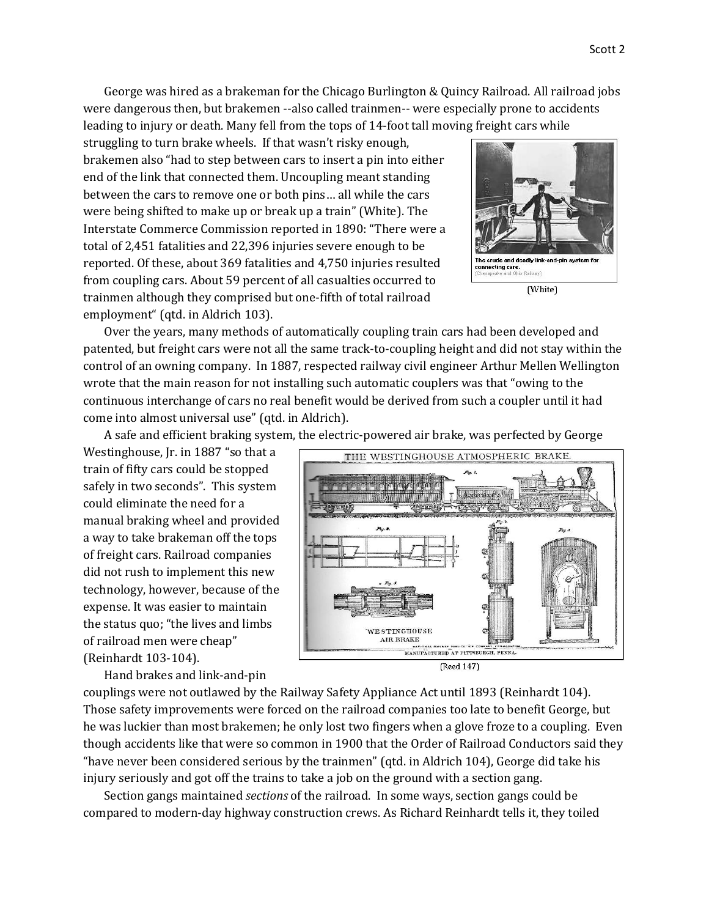George was hired as a brakeman for the Chicago Burlington & Quincy Railroad. All railroad jobs were dangerous then, but brakemen --also called trainmen-- were especially prone to accidents leading to injury or death. Many fell from the tops of 14-foot tall moving freight cars while

struggling to turn brake wheels. If that wasn't risky enough, brakemen also "had to step between cars to insert a pin into either end of the link that connected them. Uncoupling meant standing between the cars to remove one or both pins… all while the cars were being shifted to make up or break up a train" (White). The Interstate Commerce Commission reported in 1890: "There were a total of 2,451 fatalities and 22,396 injuries severe enough to be reported. Of these, about 369 fatalities and 4,750 injuries resulted from coupling cars. About 59 percent of all casualties occurred to trainmen although they comprised but one-fifth of total railroad employment" (qtd. in Aldrich 103).



Over the years, many methods of automatically coupling train cars had been developed and patented, but freight cars were not all the same track-to-coupling height and did not stay within the control of an owning company. In 1887, respected railway civil engineer Arthur Mellen Wellington wrote that the main reason for not installing such automatic couplers was that "owing to the continuous interchange of cars no real benefit would be derived from such a coupler until it had come into almost universal use" (qtd. in Aldrich).

A safe and efficient braking system, the electric-powered air brake, was perfected by George

Westinghouse, Jr. in 1887 "so that a train of fifty cars could be stopped safely in two seconds". This system could eliminate the need for a manual braking wheel and provided a way to take brakeman off the tops of freight cars. Railroad companies did not rush to implement this new technology, however, because of the expense. It was easier to maintain the status quo; "the lives and limbs of railroad men were cheap" (Reinhardt 103-104).

Hand brakes and link-and-pin



THE WESTINGHOUSE ATMOSPHERIC BRAKE



couplings were not outlawed by the Railway Safety Appliance Act until 1893 (Reinhardt 104). Those safety improvements were forced on the railroad companies too late to benefit George, but he was luckier than most brakemen; he only lost two fingers when a glove froze to a coupling. Even though accidents like that were so common in 1900 that the Order of Railroad Conductors said they "have never been considered serious by the trainmen" (qtd. in Aldrich 104), George did take his injury seriously and got off the trains to take a job on the ground with a section gang.

Section gangs maintained *sections* of the railroad. In some ways, section gangs could be compared to modern-day highway construction crews. As Richard Reinhardt tells it, they toiled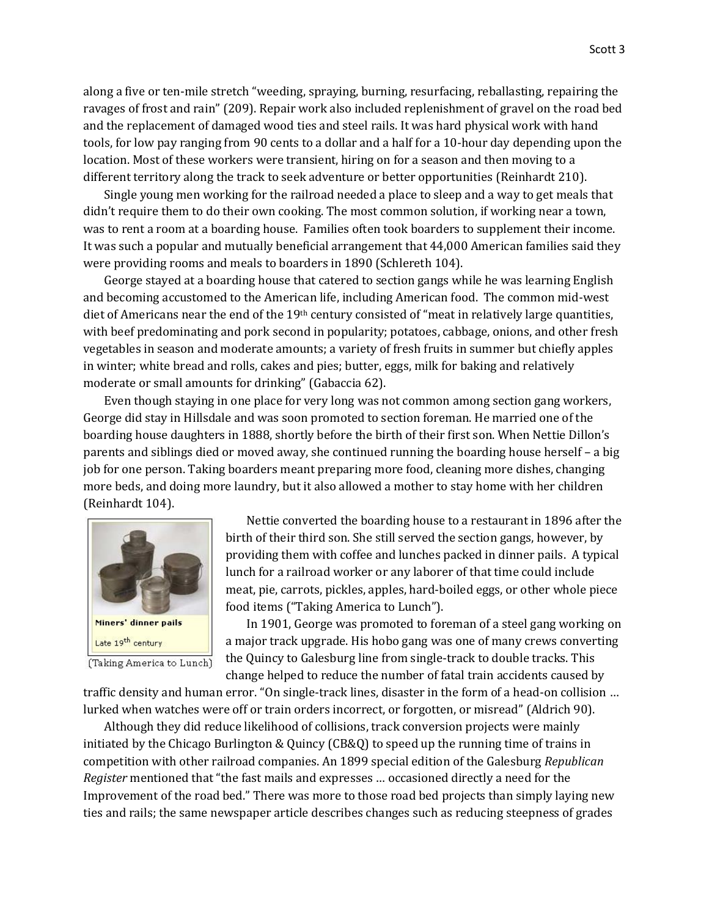along a five or ten-mile stretch "weeding, spraying, burning, resurfacing, reballasting, repairing the ravages of frost and rain" (209). Repair work also included replenishment of gravel on the road bed and the replacement of damaged wood ties and steel rails. It was hard physical work with hand tools, for low pay ranging from 90 cents to a dollar and a half for a 10-hour day depending upon the location. Most of these workers were transient, hiring on for a season and then moving to a different territory along the track to seek adventure or better opportunities (Reinhardt 210).

Single young men working for the railroad needed a place to sleep and a way to get meals that didn't require them to do their own cooking. The most common solution, if working near a town, was to rent a room at a boarding house. Families often took boarders to supplement their income. It was such a popular and mutually beneficial arrangement that 44,000 American families said they were providing rooms and meals to boarders in 1890 (Schlereth 104).

George stayed at a boarding house that catered to section gangs while he was learning English and becoming accustomed to the American life, including American food. The common mid-west diet of Americans near the end of the 19th century consisted of "meat in relatively large quantities, with beef predominating and pork second in popularity; potatoes, cabbage, onions, and other fresh vegetables in season and moderate amounts; a variety of fresh fruits in summer but chiefly apples in winter; white bread and rolls, cakes and pies; butter, eggs, milk for baking and relatively moderate or small amounts for drinking" (Gabaccia 62).

Even though staying in one place for very long was not common among section gang workers, George did stay in Hillsdale and was soon promoted to section foreman. He married one of the boarding house daughters in 1888, shortly before the birth of their first son. When Nettie Dillon's parents and siblings died or moved away, she continued running the boarding house herself – a big job for one person. Taking boarders meant preparing more food, cleaning more dishes, changing more beds, and doing more laundry, but it also allowed a mother to stay home with her children (Reinhardt 104).



(Taking America to Lunch)

Nettie converted the boarding house to a restaurant in 1896 after the birth of their third son. She still served the section gangs, however, by providing them with coffee and lunches packed in dinner pails. A typical lunch for a railroad worker or any laborer of that time could include meat, pie, carrots, pickles, apples, hard-boiled eggs, or other whole piece food items ("Taking America to Lunch").

In 1901, George was promoted to foreman of a steel gang working on a major track upgrade. His hobo gang was one of many crews converting the Quincy to Galesburg line from single-track to double tracks. This change helped to reduce the number of fatal train accidents caused by

traffic density and human error. "On single-track lines, disaster in the form of a head-on collision … lurked when watches were off or train orders incorrect, or forgotten, or misread" (Aldrich 90).

Although they did reduce likelihood of collisions, track conversion projects were mainly initiated by the Chicago Burlington & Quincy (CB&Q) to speed up the running time of trains in competition with other railroad companies. An 1899 special edition of the Galesburg *Republican Register* mentioned that "the fast mails and expresses … occasioned directly a need for the Improvement of the road bed." There was more to those road bed projects than simply laying new ties and rails; the same newspaper article describes changes such as reducing steepness of grades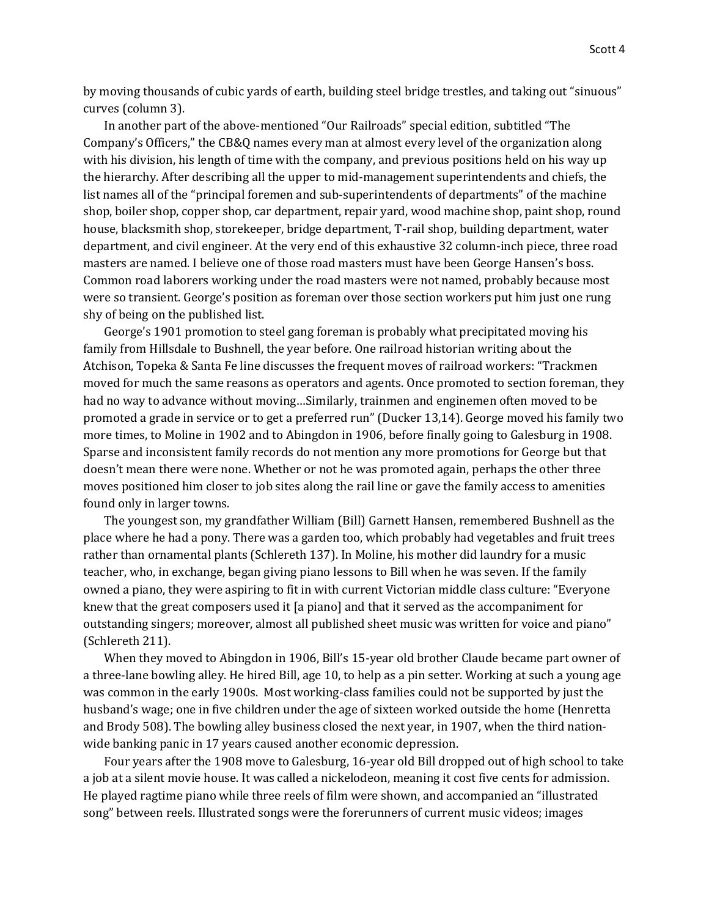by moving thousands of cubic yards of earth, building steel bridge trestles, and taking out "sinuous" curves (column 3).

In another part of the above-mentioned "Our Railroads" special edition, subtitled "The Company's Officers," the CB&Q names every man at almost every level of the organization along with his division, his length of time with the company, and previous positions held on his way up the hierarchy. After describing all the upper to mid-management superintendents and chiefs, the list names all of the "principal foremen and sub-superintendents of departments" of the machine shop, boiler shop, copper shop, car department, repair yard, wood machine shop, paint shop, round house, blacksmith shop, storekeeper, bridge department, T-rail shop, building department, water department, and civil engineer. At the very end of this exhaustive 32 column-inch piece, three road masters are named. I believe one of those road masters must have been George Hansen's boss. Common road laborers working under the road masters were not named, probably because most were so transient. George's position as foreman over those section workers put him just one rung shy of being on the published list.

George's 1901 promotion to steel gang foreman is probably what precipitated moving his family from Hillsdale to Bushnell, the year before. One railroad historian writing about the Atchison, Topeka & Santa Fe line discusses the frequent moves of railroad workers: "Trackmen moved for much the same reasons as operators and agents. Once promoted to section foreman, they had no way to advance without moving…Similarly, trainmen and enginemen often moved to be promoted a grade in service or to get a preferred run" (Ducker 13,14). George moved his family two more times, to Moline in 1902 and to Abingdon in 1906, before finally going to Galesburg in 1908. Sparse and inconsistent family records do not mention any more promotions for George but that doesn't mean there were none. Whether or not he was promoted again, perhaps the other three moves positioned him closer to job sites along the rail line or gave the family access to amenities found only in larger towns.

The youngest son, my grandfather William (Bill) Garnett Hansen, remembered Bushnell as the place where he had a pony. There was a garden too, which probably had vegetables and fruit trees rather than ornamental plants (Schlereth 137). In Moline, his mother did laundry for a music teacher, who, in exchange, began giving piano lessons to Bill when he was seven. If the family owned a piano, they were aspiring to fit in with current Victorian middle class culture: "Everyone knew that the great composers used it [a piano] and that it served as the accompaniment for outstanding singers; moreover, almost all published sheet music was written for voice and piano" (Schlereth 211).

When they moved to Abingdon in 1906, Bill's 15-year old brother Claude became part owner of a three-lane bowling alley. He hired Bill, age 10, to help as a pin setter. Working at such a young age was common in the early 1900s. Most working-class families could not be supported by just the husband's wage; one in five children under the age of sixteen worked outside the home (Henretta and Brody 508). The bowling alley business closed the next year, in 1907, when the third nationwide banking panic in 17 years caused another economic depression.

Four years after the 1908 move to Galesburg, 16-year old Bill dropped out of high school to take a job at a silent movie house. It was called a nickelodeon, meaning it cost five cents for admission. He played ragtime piano while three reels of film were shown, and accompanied an "illustrated song" between reels. Illustrated songs were the forerunners of current music videos; images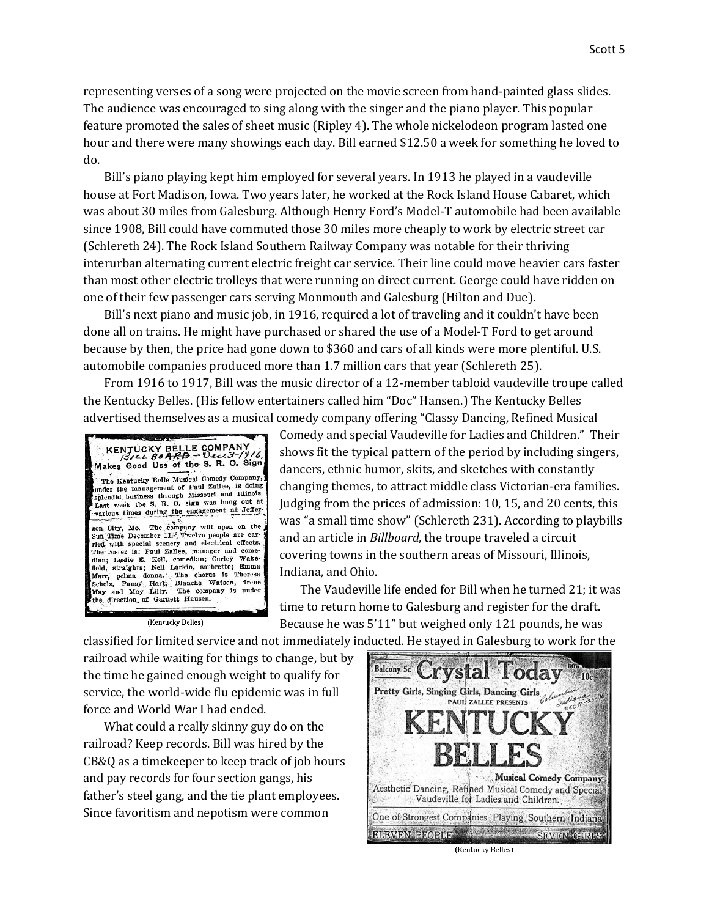representing verses of a song were projected on the movie screen from hand-painted glass slides. The audience was encouraged to sing along with the singer and the piano player. This popular feature promoted the sales of sheet music (Ripley 4). The whole nickelodeon program lasted one hour and there were many showings each day. Bill earned \$12.50 a week for something he loved to do.

Bill's piano playing kept him employed for several years. In 1913 he played in a vaudeville house at Fort Madison, Iowa. Two years later, he worked at the Rock Island House Cabaret, which was about 30 miles from Galesburg. Although Henry Ford's Model-T automobile had been available since 1908, Bill could have commuted those 30 miles more cheaply to work by electric street car (Schlereth 24). The Rock Island Southern Railway Company was notable for their thriving interurban alternating current electric freight car service. Their line could move heavier cars faster than most other electric trolleys that were running on direct current. George could have ridden on one of their few passenger cars serving Monmouth and Galesburg (Hilton and Due).

Bill's next piano and music job, in 1916, required a lot of traveling and it couldn't have been done all on trains. He might have purchased or shared the use of a Model-T Ford to get around because by then, the price had gone down to \$360 and cars of all kinds were more plentiful. U.S. automobile companies produced more than 1.7 million cars that year (Schlereth 25).

From 1916 to 1917, Bill was the music director of a 12-member tabloid vaudeville troupe called the Kentucky Belles. (His fellow entertainers called him "Doc" Hansen.) The Kentucky Belles advertised themselves as a musical comedy company offering "Classy Dancing, Refined Musical



(Kentucky Belles)

Comedy and special Vaudeville for Ladies and Children." Their shows fit the typical pattern of the period by including singers, dancers, ethnic humor, skits, and sketches with constantly changing themes, to attract middle class Victorian-era families. Judging from the prices of admission: 10, 15, and 20 cents, this was "a small time show" (Schlereth 231). According to playbills and an article in *Billboard*, the troupe traveled a circuit covering towns in the southern areas of Missouri, Illinois, Indiana, and Ohio.

The Vaudeville life ended for Bill when he turned 21; it was time to return home to Galesburg and register for the draft. Because he was 5'11" but weighed only 121 pounds, he was classified for limited service and not immediately inducted. He stayed in Galesburg to work for the

railroad while waiting for things to change, but by the time he gained enough weight to qualify for service, the world-wide flu epidemic was in full force and World War I had ended.

What could a really skinny guy do on the railroad? Keep records. Bill was hired by the CB&Q as a timekeeper to keep track of job hours and pay records for four section gangs, his father's steel gang, and the tie plant employees. Since favoritism and nepotism were common



(Kentucky Belles)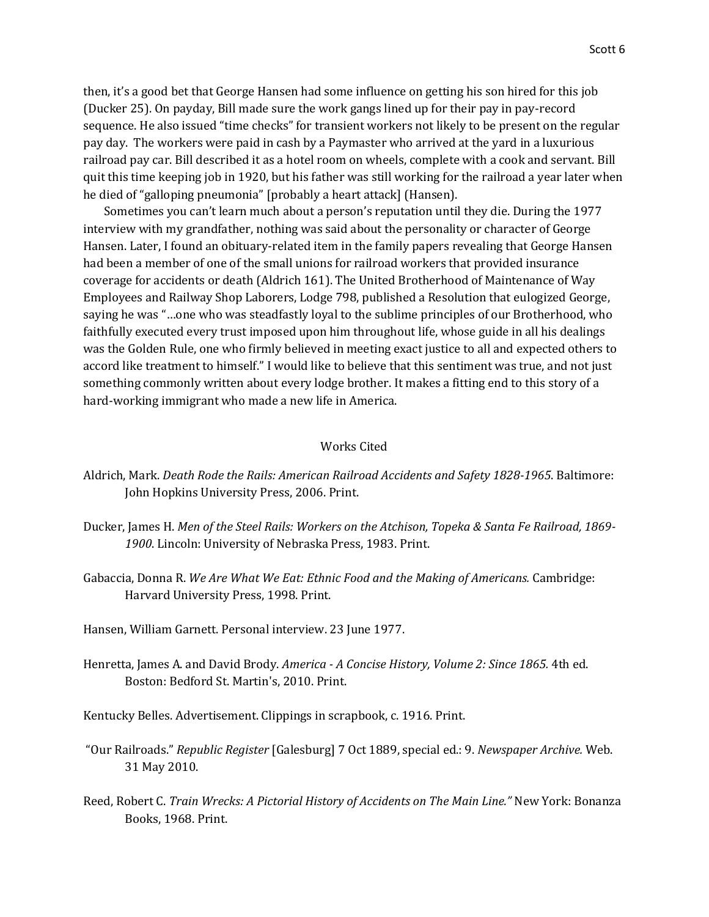then, it's a good bet that George Hansen had some influence on getting his son hired for this job (Ducker 25). On payday, Bill made sure the work gangs lined up for their pay in pay-record sequence. He also issued "time checks" for transient workers not likely to be present on the regular pay day. The workers were paid in cash by a Paymaster who arrived at the yard in a luxurious railroad pay car. Bill described it as a hotel room on wheels, complete with a cook and servant. Bill quit this time keeping job in 1920, but his father was still working for the railroad a year later when he died of "galloping pneumonia" [probably a heart attack] (Hansen).

Sometimes you can't learn much about a person's reputation until they die. During the 1977 interview with my grandfather, nothing was said about the personality or character of George Hansen. Later, I found an obituary-related item in the family papers revealing that George Hansen had been a member of one of the small unions for railroad workers that provided insurance coverage for accidents or death (Aldrich 161). The United Brotherhood of Maintenance of Way Employees and Railway Shop Laborers, Lodge 798, published a Resolution that eulogized George, saying he was "…one who was steadfastly loyal to the sublime principles of our Brotherhood, who faithfully executed every trust imposed upon him throughout life, whose guide in all his dealings was the Golden Rule, one who firmly believed in meeting exact justice to all and expected others to accord like treatment to himself." I would like to believe that this sentiment was true, and not just something commonly written about every lodge brother. It makes a fitting end to this story of a hard-working immigrant who made a new life in America.

## Works Cited

- Aldrich, Mark. *Death Rode the Rails: American Railroad Accidents and Safety 1828-1965*. Baltimore: John Hopkins University Press, 2006. Print.
- Ducker, James H. *Men of the Steel Rails: Workers on the Atchison, Topeka & Santa Fe Railroad, 1869- 1900*. Lincoln: University of Nebraska Press, 1983. Print.
- Gabaccia, Donna R. *We Are What We Eat: Ethnic Food and the Making of Americans.* Cambridge: Harvard University Press, 1998. Print.
- Hansen, William Garnett. Personal interview. 23 June 1977.
- Henretta, James A. and David Brody. *America - A Concise History, Volume 2: Since 1865.* 4th ed. Boston: Bedford St. Martin's, 2010. Print.
- Kentucky Belles. Advertisement. Clippings in scrapbook, c. 1916. Print.
- "Our Railroads." *Republic Register* [Galesburg] 7 Oct 1889, special ed.: 9. *Newspaper Archive.* Web. 31 May 2010.
- Reed, Robert C. *Train Wrecks: A Pictorial History of Accidents on The Main Line."* New York: Bonanza Books, 1968. Print.